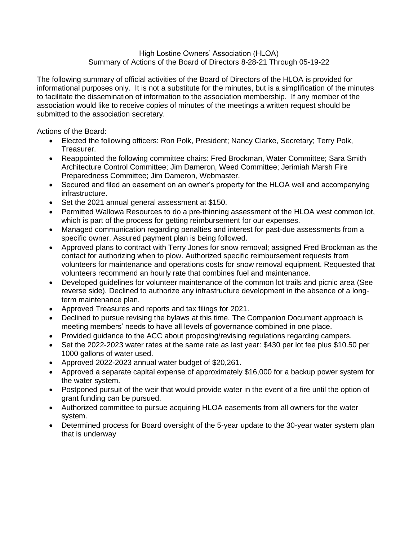## High Lostine Owners' Association (HLOA) Summary of Actions of the Board of Directors 8-28-21 Through 05-19-22

The following summary of official activities of the Board of Directors of the HLOA is provided for informational purposes only. It is not a substitute for the minutes, but is a simplification of the minutes to facilitate the dissemination of information to the association membership. If any member of the association would like to receive copies of minutes of the meetings a written request should be submitted to the association secretary.

Actions of the Board:

- Elected the following officers: Ron Polk, President; Nancy Clarke, Secretary; Terry Polk, Treasurer.
- Reappointed the following committee chairs: Fred Brockman, Water Committee; Sara Smith Architecture Control Committee; Jim Dameron, Weed Committee; Jerimiah Marsh Fire Preparedness Committee; Jim Dameron, Webmaster.
- Secured and filed an easement on an owner's property for the HLOA well and accompanying infrastructure.
- Set the 2021 annual general assessment at \$150.
- Permitted Wallowa Resources to do a pre-thinning assessment of the HLOA west common lot, which is part of the process for getting reimbursement for our expenses.
- Managed communication regarding penalties and interest for past-due assessments from a specific owner. Assured payment plan is being followed.
- Approved plans to contract with Terry Jones for snow removal; assigned Fred Brockman as the contact for authorizing when to plow. Authorized specific reimbursement requests from volunteers for maintenance and operations costs for snow removal equipment. Requested that volunteers recommend an hourly rate that combines fuel and maintenance.
- Developed guidelines for volunteer maintenance of the common lot trails and picnic area (See reverse side). Declined to authorize any infrastructure development in the absence of a longterm maintenance plan.
- Approved Treasures and reports and tax filings for 2021.
- Declined to pursue revising the bylaws at this time. The Companion Document approach is meeting members' needs to have all levels of governance combined in one place.
- Provided guidance to the ACC about proposing/revising regulations regarding campers.
- Set the 2022-2023 water rates at the same rate as last year: \$430 per lot fee plus \$10.50 per 1000 gallons of water used.
- Approved 2022-2023 annual water budget of \$20,261.
- Approved a separate capital expense of approximately \$16,000 for a backup power system for the water system.
- Postponed pursuit of the weir that would provide water in the event of a fire until the option of grant funding can be pursued.
- Authorized committee to pursue acquiring HLOA easements from all owners for the water system.
- Determined process for Board oversight of the 5-year update to the 30-year water system plan that is underway